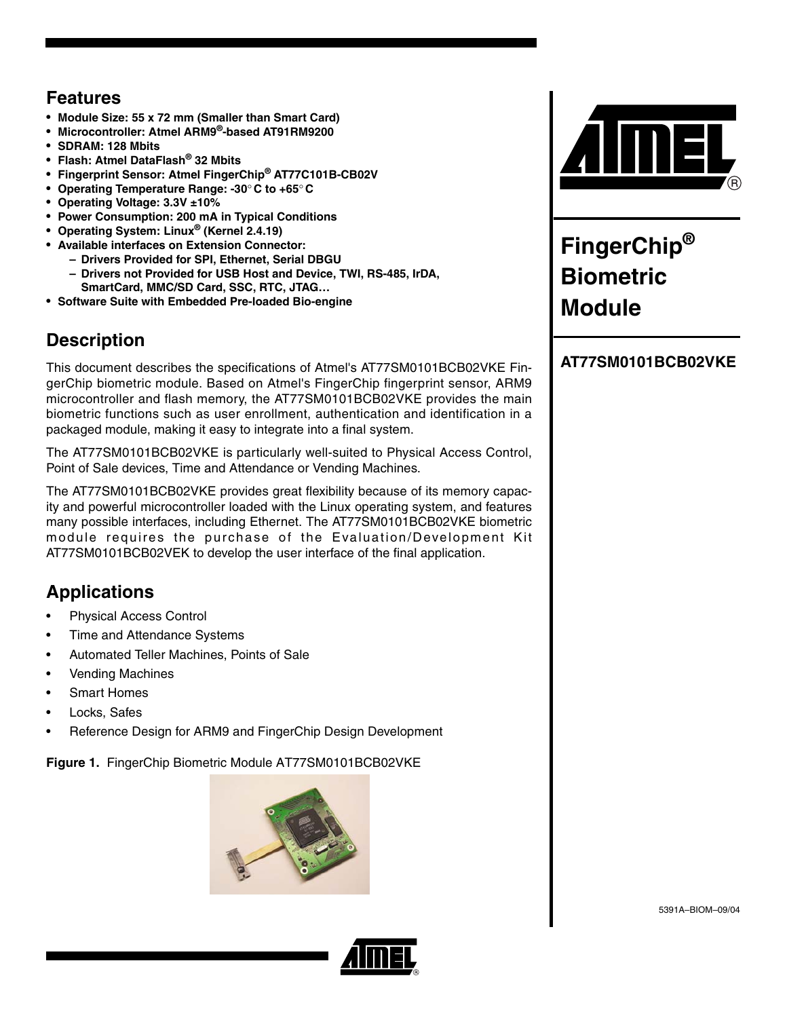# **Features**

- **Module Size: 55 x 72 mm (Smaller than Smart Card)**
- **Microcontroller: Atmel ARM9®-based AT91RM9200**
- **SDRAM: 128 Mbits**
- **Flash: Atmel DataFlash® 32 Mbits**
- **Fingerprint Sensor: Atmel FingerChip® AT77C101B-CB02V**
- **Operating Temperature Range: -30**° **C to +65**° **C**
- **Operating Voltage: 3.3V ±10%**
- **Power Consumption: 200 mA in Typical Conditions**
- **Operating System: Linux® (Kernel 2.4.19)**
- **Available interfaces on Extension Connector:**
	- **Drivers Provided for SPI, Ethernet, Serial DBGU**
	- **Drivers not Provided for USB Host and Device, TWI, RS-485, IrDA, SmartCard, MMC/SD Card, SSC, RTC, JTAG…**
- **Software Suite with Embedded Pre-loaded Bio-engine**

# **Description**

This document describes the specifications of Atmel's AT77SM0101BCB02VKE FingerChip biometric module. Based on Atmel's FingerChip fingerprint sensor, ARM9 microcontroller and flash memory, the AT77SM0101BCB02VKE provides the main biometric functions such as user enrollment, authentication and identification in a packaged module, making it easy to integrate into a final system.

The AT77SM0101BCB02VKE is particularly well-suited to Physical Access Control, Point of Sale devices, Time and Attendance or Vending Machines.

The AT77SM0101BCB02VKE provides great flexibility because of its memory capacity and powerful microcontroller loaded with the Linux operating system, and features many possible interfaces, including Ethernet. The AT77SM0101BCB02VKE biometric module requires the purchase of the Evaluation/Development Kit AT77SM0101BCB02VEK to develop the user interface of the final application.

# **Applications**

- Physical Access Control
- Time and Attendance Systems
- Automated Teller Machines, Points of Sale
- Vending Machines
- Smart Homes
- Locks, Safes
- Reference Design for ARM9 and FingerChip Design Development

**Figure 1.** FingerChip Biometric Module AT77SM0101BCB02VKE





# **FingerChip® Biometric Module**

### **AT77SM0101BCB02VKE**



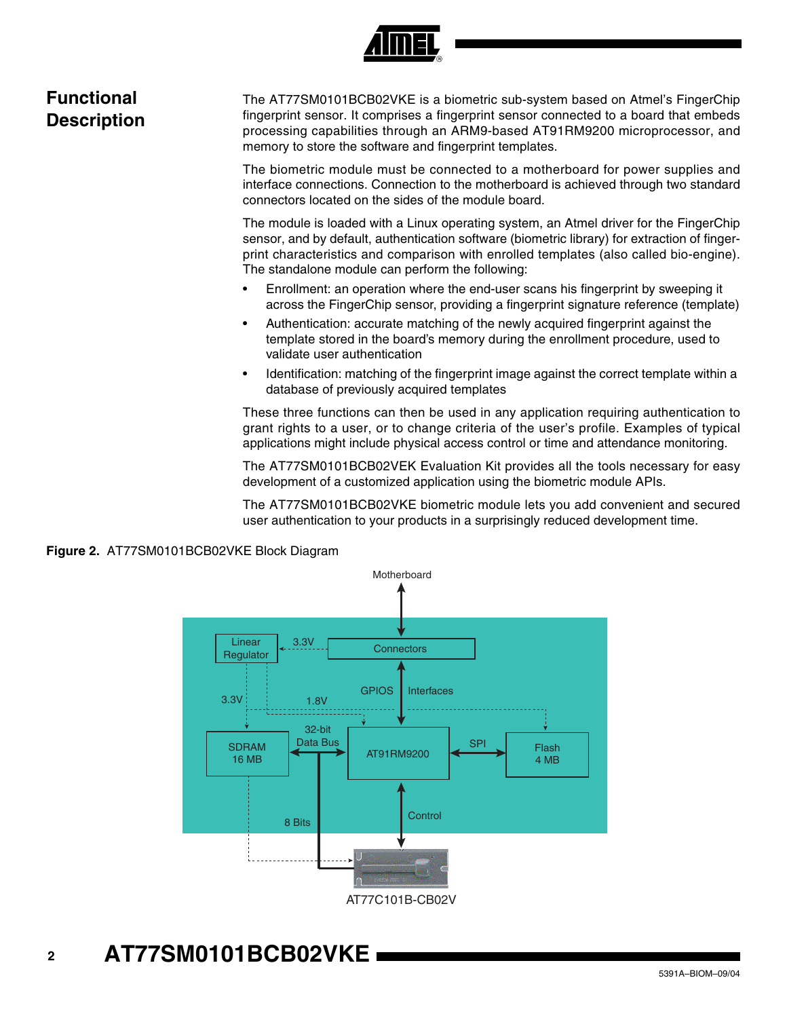

# **Functional Description**

The AT77SM0101BCB02VKE is a biometric sub-system based on Atmel's FingerChip fingerprint sensor. It comprises a fingerprint sensor connected to a board that embeds processing capabilities through an ARM9-based AT91RM9200 microprocessor, and memory to store the software and fingerprint templates.

The biometric module must be connected to a motherboard for power supplies and interface connections. Connection to the motherboard is achieved through two standard connectors located on the sides of the module board.

The module is loaded with a Linux operating system, an Atmel driver for the FingerChip sensor, and by default, authentication software (biometric library) for extraction of fingerprint characteristics and comparison with enrolled templates (also called bio-engine). The standalone module can perform the following:

- Enrollment: an operation where the end-user scans his fingerprint by sweeping it across the FingerChip sensor, providing a fingerprint signature reference (template)
- Authentication: accurate matching of the newly acquired fingerprint against the template stored in the board's memory during the enrollment procedure, used to validate user authentication
- Identification: matching of the fingerprint image against the correct template within a database of previously acquired templates

These three functions can then be used in any application requiring authentication to grant rights to a user, or to change criteria of the user's profile. Examples of typical applications might include physical access control or time and attendance monitoring.

The AT77SM0101BCB02VEK Evaluation Kit provides all the tools necessary for easy development of a customized application using the biometric module APIs.

The AT77SM0101BCB02VKE biometric module lets you add convenient and secured user authentication to your products in a surprisingly reduced development time.





# **<sup>2</sup> AT77SM0101BCB02VKE**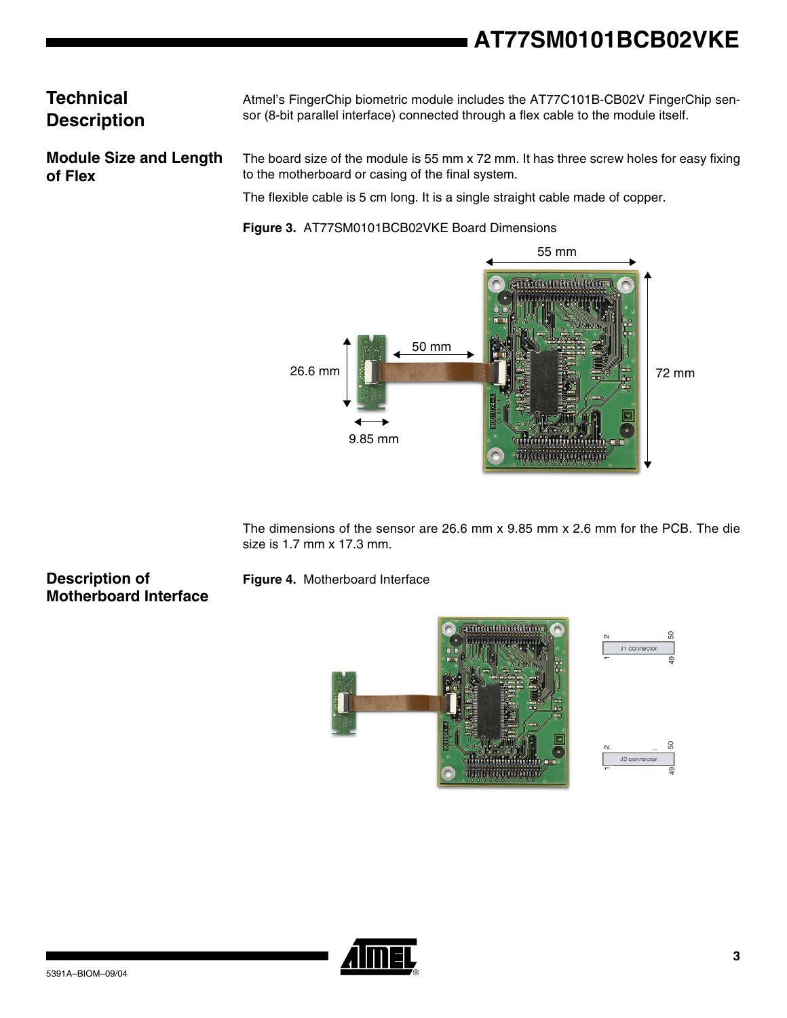# **AT77SM0101BCB02VKE**

# **Technical Description**

Atmel's FingerChip biometric module includes the AT77C101B-CB02V FingerChip sensor (8-bit parallel interface) connected through a flex cable to the module itself.

**Module Size and Length of Flex**

The board size of the module is 55 mm x 72 mm. It has three screw holes for easy fixing to the motherboard or casing of the final system.

The flexible cable is 5 cm long. It is a single straight cable made of copper.

**Figure 3.** AT77SM0101BCB02VKE Board Dimensions



The dimensions of the sensor are 26.6 mm x 9.85 mm x 2.6 mm for the PCB. The die size is 1.7 mm x 17.3 mm.

### **Description of Motherboard Interface**

**Figure 4.** Motherboard Interface



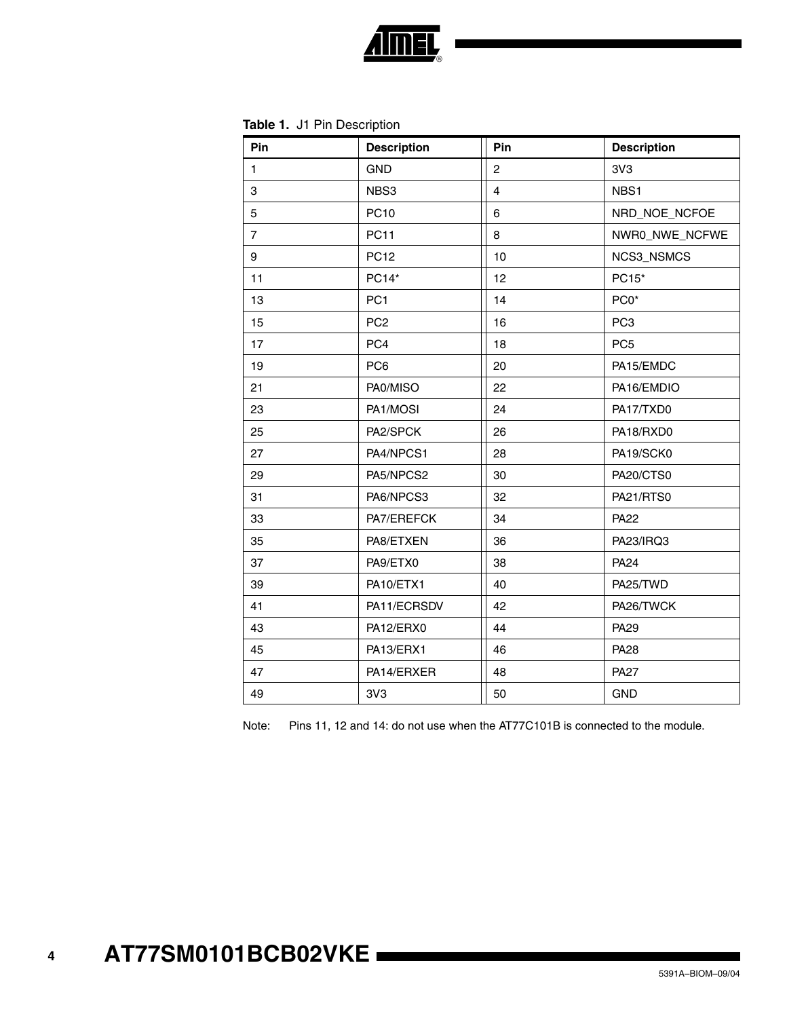

| Pin            | <b>Description</b> | Pin            | <b>Description</b> |
|----------------|--------------------|----------------|--------------------|
| $\mathbf{1}$   | <b>GND</b>         | $\overline{2}$ | 3V3                |
| 3              | NBS3               | $\overline{4}$ | NBS1               |
| 5              | <b>PC10</b>        | 6              | NRD_NOE_NCFOE      |
| $\overline{7}$ | <b>PC11</b>        | 8              | NWR0_NWE_NCFWE     |
| 9              | <b>PC12</b>        | 10             | NCS3_NSMCS         |
| 11             | PC14*              | 12             | PC15*              |
| 13             | PC <sub>1</sub>    | 14             | PC0*               |
| 15             | PC <sub>2</sub>    | 16             | PC <sub>3</sub>    |
| 17             | PC4                | 18             | PC <sub>5</sub>    |
| 19             | PC <sub>6</sub>    | 20             | PA15/EMDC          |
| 21             | PA0/MISO           | 22             | PA16/EMDIO         |
| 23             | PA1/MOSI           | 24             | PA17/TXD0          |
| 25             | PA2/SPCK           | 26             | PA18/RXD0          |
| 27             | PA4/NPCS1          | 28             | PA19/SCK0          |
| 29             | PA5/NPCS2          | 30             | PA20/CTS0          |
| 31             | PA6/NPCS3          | 32             | PA21/RTS0          |
| 33             | PA7/EREFCK         | 34             | <b>PA22</b>        |
| 35             | PA8/ETXEN          | 36             | PA23/IRQ3          |
| 37             | PA9/ETX0           | 38             | <b>PA24</b>        |
| 39             | PA10/ETX1          | 40             | PA25/TWD           |
| 41             | PA11/ECRSDV        | 42             | PA26/TWCK          |
| 43             | PA12/ERX0          | 44             | <b>PA29</b>        |
| 45             | PA13/ERX1          | 46             | <b>PA28</b>        |
| 47             | PA14/ERXER         | 48             | <b>PA27</b>        |
| 49             | 3V3                | 50             | <b>GND</b>         |

Note: Pins 11, 12 and 14: do not use when the AT77C101B is connected to the module.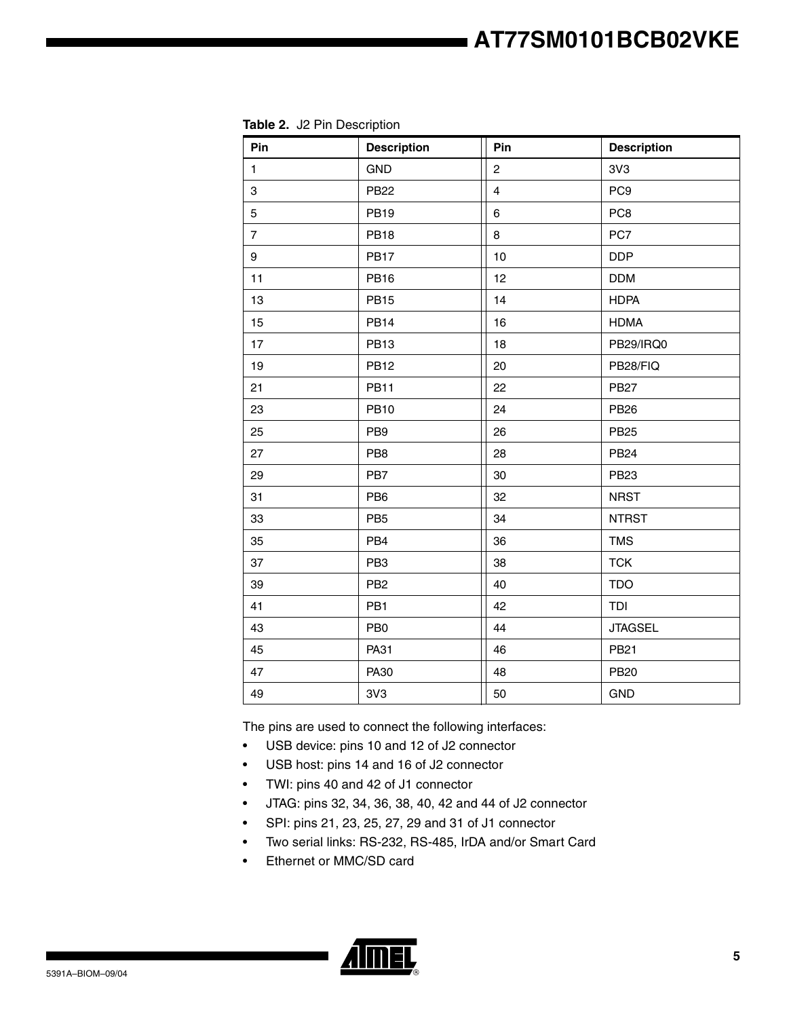| Pin            | <b>Description</b> | Pin            | <b>Description</b> |
|----------------|--------------------|----------------|--------------------|
| $\mathbf{1}$   | <b>GND</b>         | $\overline{c}$ | 3V3                |
| 3              | <b>PB22</b>        | $\overline{4}$ | PC <sub>9</sub>    |
| 5              | <b>PB19</b>        | 6              | PC <sub>8</sub>    |
| $\overline{7}$ | <b>PB18</b>        | 8              | PC7                |
| 9              | <b>PB17</b>        | 10             | <b>DDP</b>         |
| 11             | <b>PB16</b>        | 12             | <b>DDM</b>         |
| 13             | <b>PB15</b>        | 14             | <b>HDPA</b>        |
| 15             | <b>PB14</b>        | 16             | <b>HDMA</b>        |
| 17             | <b>PB13</b>        | 18             | PB29/IRQ0          |
| 19             | <b>PB12</b>        | 20             | PB28/FIQ           |
| 21             | <b>PB11</b>        | 22             | <b>PB27</b>        |
| 23             | <b>PB10</b>        | 24             | <b>PB26</b>        |
| 25             | PB <sub>9</sub>    | 26             | <b>PB25</b>        |
| 27             | PB8                | 28             | <b>PB24</b>        |
| 29             | PB7                | 30             | <b>PB23</b>        |
| 31             | PB <sub>6</sub>    | 32             | <b>NRST</b>        |
| 33             | PB <sub>5</sub>    | 34             | <b>NTRST</b>       |
| 35             | PB4                | 36             | <b>TMS</b>         |
| 37             | PB <sub>3</sub>    | 38             | <b>TCK</b>         |
| 39             | PB <sub>2</sub>    | 40             | <b>TDO</b>         |
| 41             | PB1                | 42             | TDI                |
| 43             | PB <sub>0</sub>    | 44             | <b>JTAGSEL</b>     |
| 45             | PA31               | 46             | <b>PB21</b>        |
| 47             | PA30               | 48             | <b>PB20</b>        |
| 49             | 3V3                | 50             | <b>GND</b>         |

**Table 2.** J2 Pin Description

The pins are used to connect the following interfaces:

- USB device: pins 10 and 12 of J2 connector
- USB host: pins 14 and 16 of J2 connector
- TWI: pins 40 and 42 of J1 connector
- JTAG: pins 32, 34, 36, 38, 40, 42 and 44 of J2 connector
- SPI: pins 21, 23, 25, 27, 29 and 31 of J1 connector
- Two serial links: RS-232, RS-485, IrDA and/or Smart Card
- Ethernet or MMC/SD card

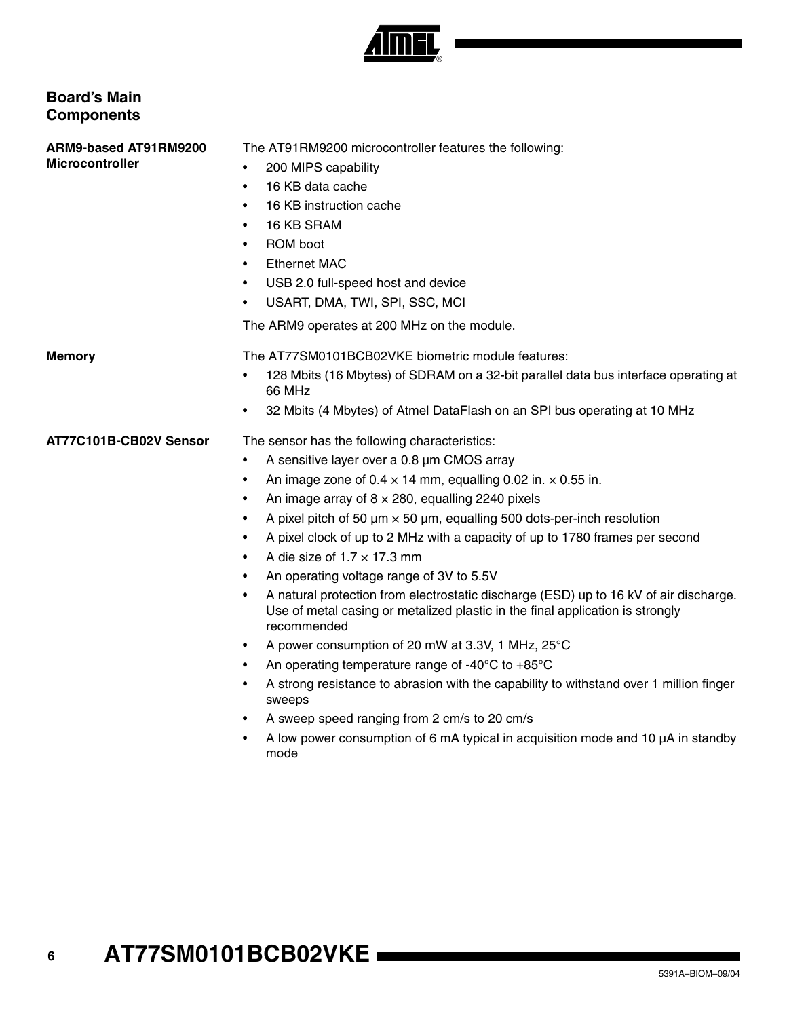

### **Board's Main Components**

**ARM9-based AT91RM9200 Microcontroller**

- The AT91RM9200 microcontroller features the following:
- 200 MIPS capability
- 16 KB data cache
- 16 KB instruction cache
- 16 KB SRAM
- ROM boot
- **Ethernet MAC**
- USB 2.0 full-speed host and device
- USART, DMA, TWI, SPI, SSC, MCI

The ARM9 operates at 200 MHz on the module.

**Memory** The AT77SM0101BCB02VKE biometric module features:

- 128 Mbits (16 Mbytes) of SDRAM on a 32-bit parallel data bus interface operating at 66 MHz
- 32 Mbits (4 Mbytes) of Atmel DataFlash on an SPI bus operating at 10 MHz

### **AT77C101B-CB02V Sensor** The sensor has the following characteristics:

- A sensitive layer over a 0.8 µm CMOS array
- An image zone of 0.4  $\times$  14 mm, equalling 0.02 in.  $\times$  0.55 in.
- An image array of  $8 \times 280$ , equalling 2240 pixels
- A pixel pitch of 50  $\mu$ m  $\times$  50  $\mu$ m, equalling 500 dots-per-inch resolution
- A pixel clock of up to 2 MHz with a capacity of up to 1780 frames per second
- A die size of  $1.7 \times 17.3$  mm
- An operating voltage range of 3V to 5.5V
- A natural protection from electrostatic discharge (ESD) up to 16 kV of air discharge. Use of metal casing or metalized plastic in the final application is strongly recommended
- A power consumption of 20 mW at 3.3V, 1 MHz, 25°C
- An operating temperature range of -40 $^{\circ}$ C to +85 $^{\circ}$ C
- A strong resistance to abrasion with the capability to withstand over 1 million finger sweeps
- A sweep speed ranging from 2 cm/s to 20 cm/s
- A low power consumption of 6 mA typical in acquisition mode and 10 µA in standby mode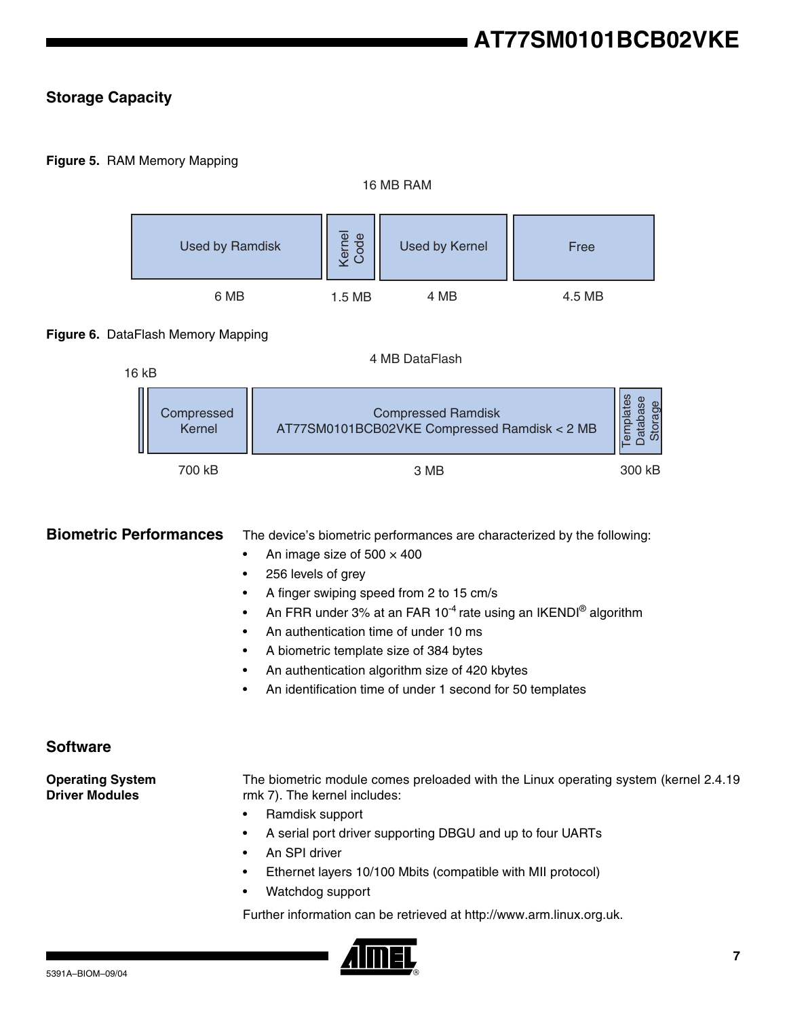### **Storage Capacity**

### **Figure 5.** RAM Memory Mapping



### **Figure 6.** DataFlash Memory Mapping

| 16 kB |                      | 4 MB DataFlash                                                            |        |
|-------|----------------------|---------------------------------------------------------------------------|--------|
|       | Compressed<br>Kernel | <b>Compressed Ramdisk</b><br>AT77SM0101BCB02VKE Compressed Ramdisk < 2 MB |        |
|       | 700 kB               | 3 MB                                                                      | 300 kB |

**Biometric Performances** The device's biometric performances are characterized by the following:

- An image size of  $500 \times 400$
- 256 levels of grey
- A finger swiping speed from 2 to 15 cm/s
- An FRR under 3% at an FAR 10<sup>-4</sup> rate using an IKENDI<sup>®</sup> algorithm
- An authentication time of under 10 ms
- A biometric template size of 384 bytes
- An authentication algorithm size of 420 kbytes
- An identification time of under 1 second for 50 templates

### **Software**

**Operating System Driver Modules**

The biometric module comes preloaded with the Linux operating system (kernel 2.4.19 rmk 7). The kernel includes:

- Ramdisk support
- A serial port driver supporting DBGU and up to four UARTs
- An SPI driver
- Ethernet layers 10/100 Mbits (compatible with MII protocol)
- Watchdog support

Further information can be retrieved at http://www.arm.linux.org.uk.

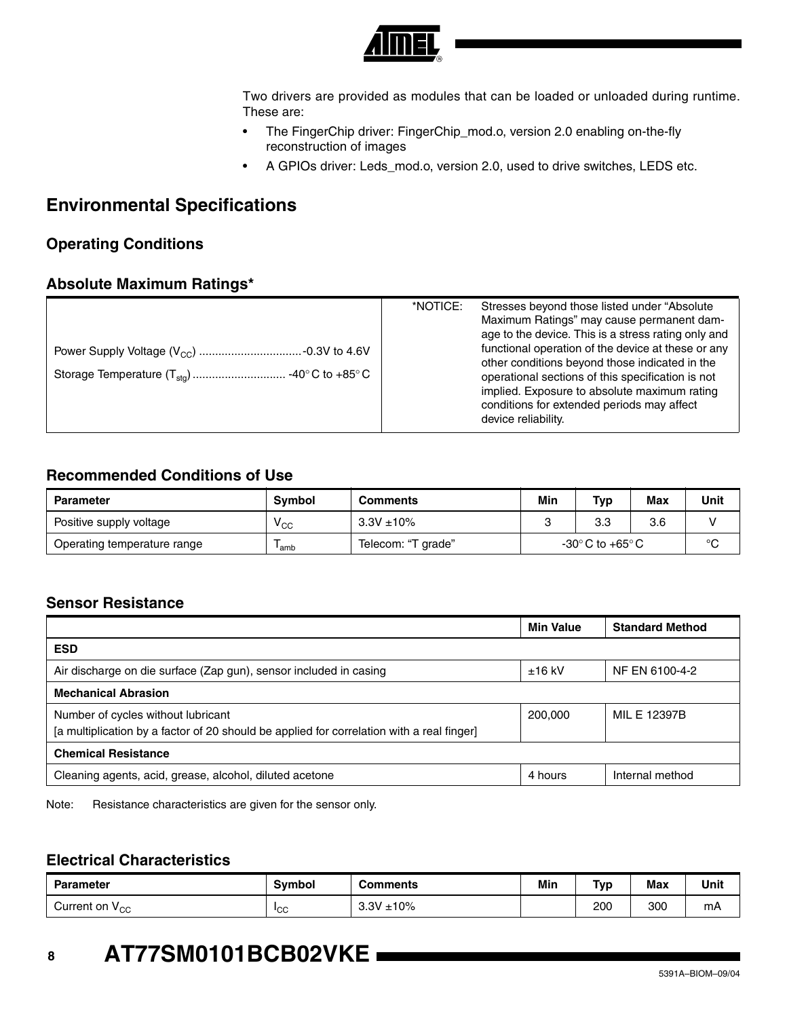

Two drivers are provided as modules that can be loaded or unloaded during runtime. These are:

- The FingerChip driver: FingerChip\_mod.o, version 2.0 enabling on-the-fly reconstruction of images
- A GPIOs driver: Leds\_mod.o, version 2.0, used to drive switches, LEDS etc.

## **Environmental Specifications**

### **Operating Conditions**

### **Absolute Maximum Ratings\***

|  | *NOTICE:<br>Stresses beyond those listed under "Absolute"<br>Maximum Ratings" may cause permanent dam-<br>age to the device. This is a stress rating only and<br>functional operation of the device at these or any<br>other conditions beyond those indicated in the<br>operational sections of this specification is not<br>implied. Exposure to absolute maximum rating<br>conditions for extended periods may affect<br>device reliability. |  |
|--|-------------------------------------------------------------------------------------------------------------------------------------------------------------------------------------------------------------------------------------------------------------------------------------------------------------------------------------------------------------------------------------------------------------------------------------------------|--|
|--|-------------------------------------------------------------------------------------------------------------------------------------------------------------------------------------------------------------------------------------------------------------------------------------------------------------------------------------------------------------------------------------------------------------------------------------------------|--|

### **Recommended Conditions of Use**

| <b>Parameter</b>            | <b>Symbol</b>   | <b>Comments</b>    | Min | Typ                                | Max | Unit    |
|-----------------------------|-----------------|--------------------|-----|------------------------------------|-----|---------|
| Positive supply voltage     | <sup>v</sup> cc | $3.3V + 10%$       |     | 3.3                                | 3.6 |         |
| Operating temperature range | 'amb            | Telecom: "T grade" |     | $-30^{\circ}$ C to $+65^{\circ}$ C |     | $\circ$ |

### **Sensor Resistance**

|                                                                                                                                 | <b>Min Value</b> | <b>Standard Method</b> |
|---------------------------------------------------------------------------------------------------------------------------------|------------------|------------------------|
| <b>ESD</b>                                                                                                                      |                  |                        |
| Air discharge on die surface (Zap gun), sensor included in casing                                                               | $±16$ kV         | NF EN 6100-4-2         |
| <b>Mechanical Abrasion</b>                                                                                                      |                  |                        |
| Number of cycles without lubricant<br>[a multiplication by a factor of 20 should be applied for correlation with a real finger] | 200,000          | MIL E 12397B           |
| <b>Chemical Resistance</b>                                                                                                      |                  |                        |
| Cleaning agents, acid, grease, alcohol, diluted acetone                                                                         | 4 hours          | Internal method        |

Note: Resistance characteristics are given for the sensor only.

### **Electrical Characteristics**

| <b>Parameter</b>           | <b>Symbol</b>   | Comments     | Min | <b>Tvp</b> | <b>Max</b> | Unit |
|----------------------------|-----------------|--------------|-----|------------|------------|------|
| Current on V <sub>CC</sub> | <sup>1</sup> CC | 3.3V<br>±10% |     | 200        | 300        | mA   |

# **<sup>8</sup> AT77SM0101BCB02VKE**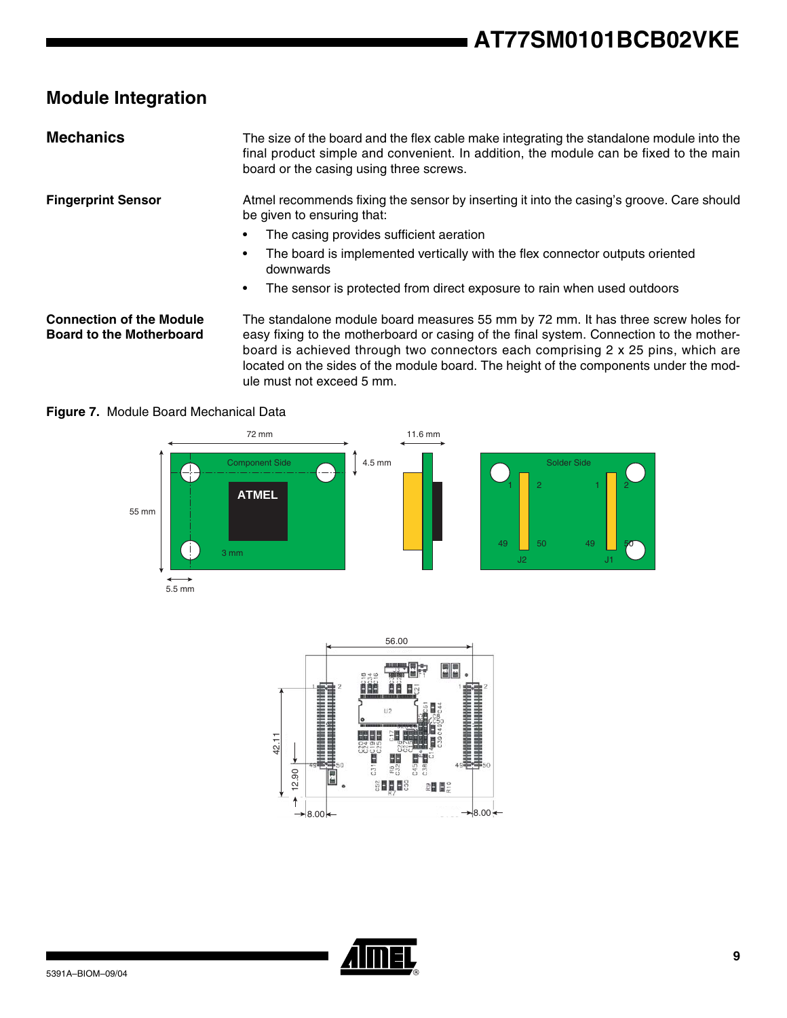# **Module Integration**

| <b>Mechanics</b>                                                   | The size of the board and the flex cable make integrating the standalone module into the<br>final product simple and convenient. In addition, the module can be fixed to the main<br>board or the casing using three screws. |
|--------------------------------------------------------------------|------------------------------------------------------------------------------------------------------------------------------------------------------------------------------------------------------------------------------|
| <b>Fingerprint Sensor</b>                                          | Atmel recommends fixing the sensor by inserting it into the casing's groove. Care should<br>be given to ensuring that:                                                                                                       |
|                                                                    | The casing provides sufficient aeration                                                                                                                                                                                      |
|                                                                    | The board is implemented vertically with the flex connector outputs oriented<br>٠<br>downwards                                                                                                                               |
|                                                                    | The sensor is protected from direct exposure to rain when used outdoors<br>٠                                                                                                                                                 |
| <b>Connection of the Module</b><br><b>Board to the Motherboard</b> | The standalone module board measures 55 mm by 72 mm. It has three screw holes for<br>easy fixing to the motherboard or casing of the final system. Connection to the mother-                                                 |

easy fixing to the motherboard or casing of the final system. Connection to the motherboard is achieved through two connectors each comprising 2 x 25 pins, which are located on the sides of the module board. The height of the components under the module must not exceed 5 mm.



**Figure 7.** Module Board Mechanical Data



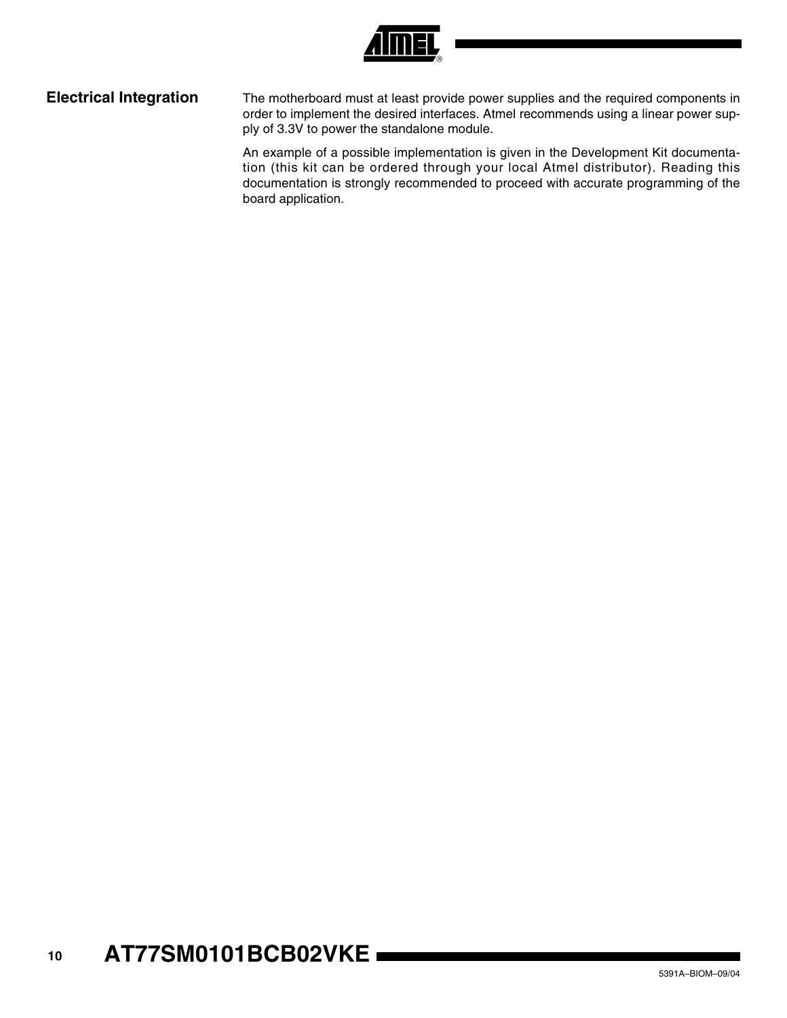

**Electrical Integration** The motherboard must at least provide power supplies and the required components in order to implement the desired interfaces. Atmel recommends using a linear power supply of 3.3V to power the standalone module.

> An example of a possible implementation is given in the Development Kit documentation (this kit can be ordered through your local Atmel distributor). Reading this documentation is strongly recommended to proceed with accurate programming of the board application.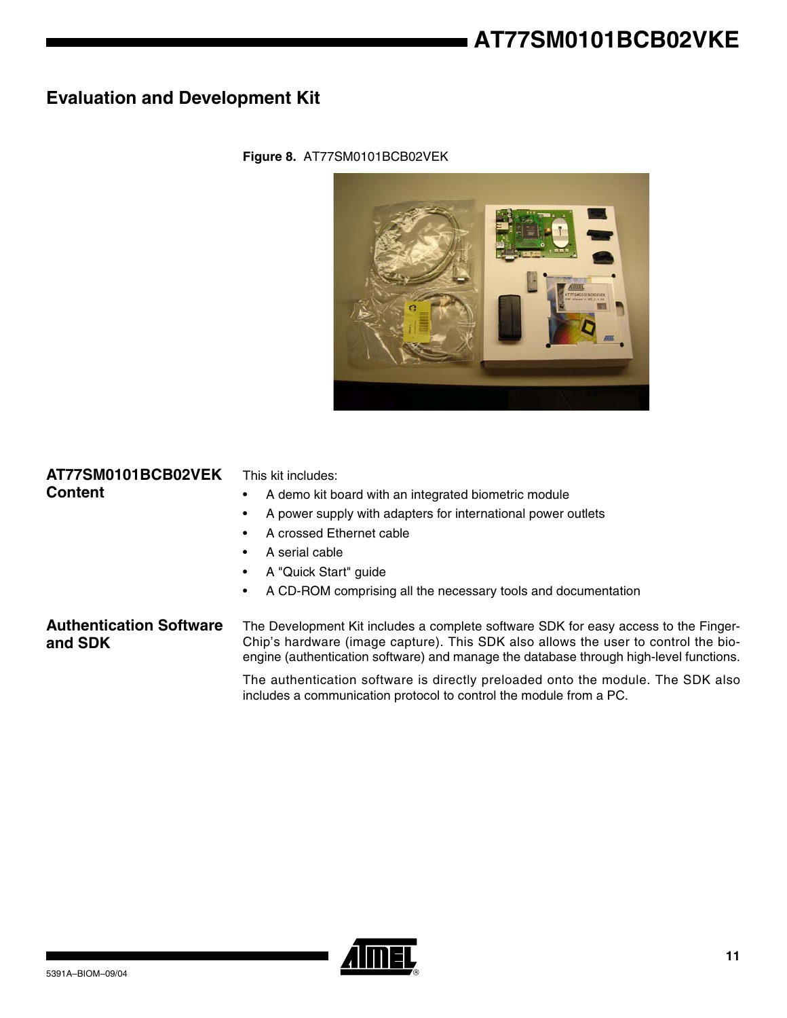# **Evaluation and Development Kit**



### **Figure 8.** AT77SM0101BCB02VEK

| AT77SM0101BCB02VEK<br><b>Content</b>      | This kit includes:<br>A demo kit board with an integrated biometric module<br>٠<br>A power supply with adapters for international power outlets<br>٠<br>A crossed Ethernet cable<br>٠<br>A serial cable<br>٠<br>A "Quick Start" guide<br>٠<br>A CD-ROM comprising all the necessary tools and documentation<br>٠ |
|-------------------------------------------|------------------------------------------------------------------------------------------------------------------------------------------------------------------------------------------------------------------------------------------------------------------------------------------------------------------|
| <b>Authentication Software</b><br>and SDK | The Development Kit includes a complete software SDK for easy access to the Finger-<br>Chip's hardware (image capture). This SDK also allows the user to control the bio-<br>engine (authentication software) and manage the database through high-level functions.                                              |
|                                           | The authentication software is directly preloaded onto the module. The SDK also<br>includes a communication protocol to control the module from a PC.                                                                                                                                                            |

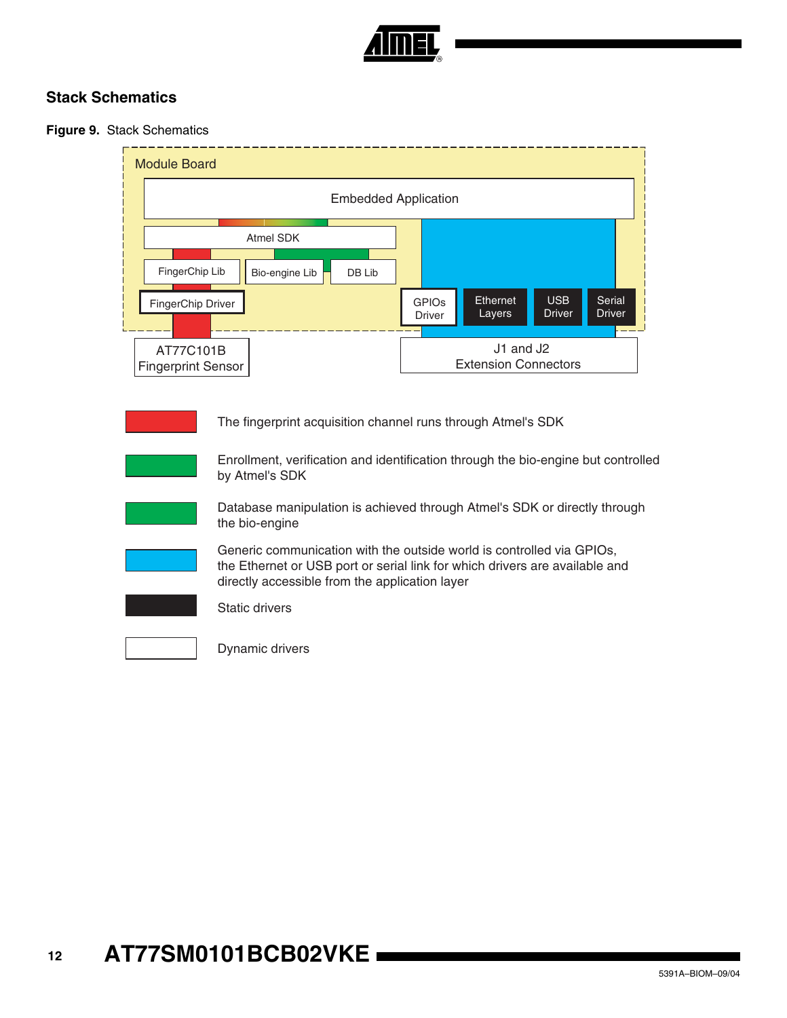

### **Stack Schematics**

### **Figure 9.** Stack Schematics

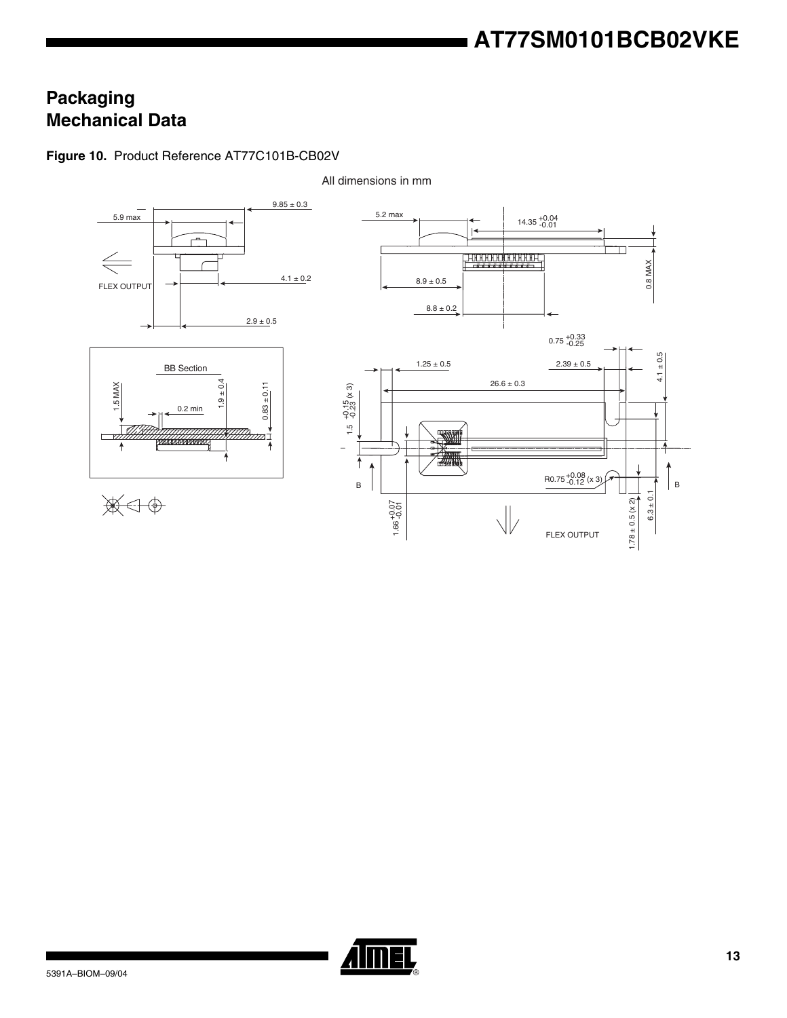# **Packaging Mechanical Data**

### **Figure 10.** Product Reference AT77C101B-CB02V



All dimensions in mm

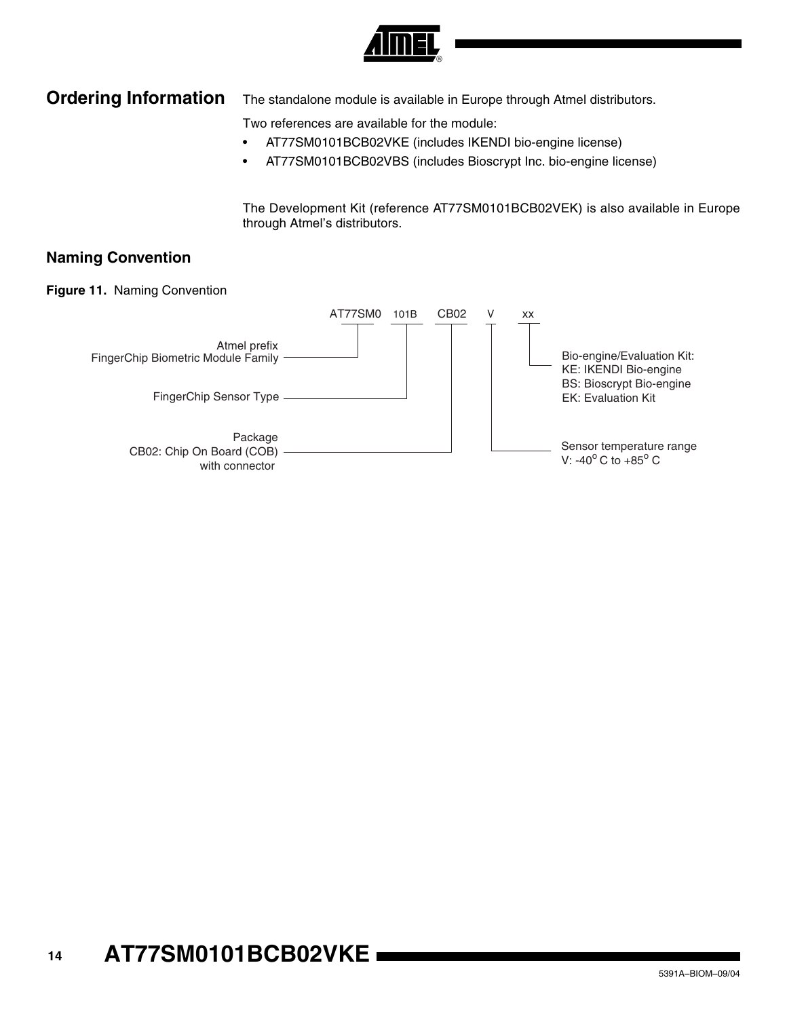

## **Ordering Information** The standalone module is available in Europe through Atmel distributors.

Two references are available for the module:

- AT77SM0101BCB02VKE (includes IKENDI bio-engine license)
- AT77SM0101BCB02VBS (includes Bioscrypt Inc. bio-engine license)

The Development Kit (reference AT77SM0101BCB02VEK) is also available in Europe through Atmel's distributors.

### **Naming Convention**

**Figure 11.** Naming Convention